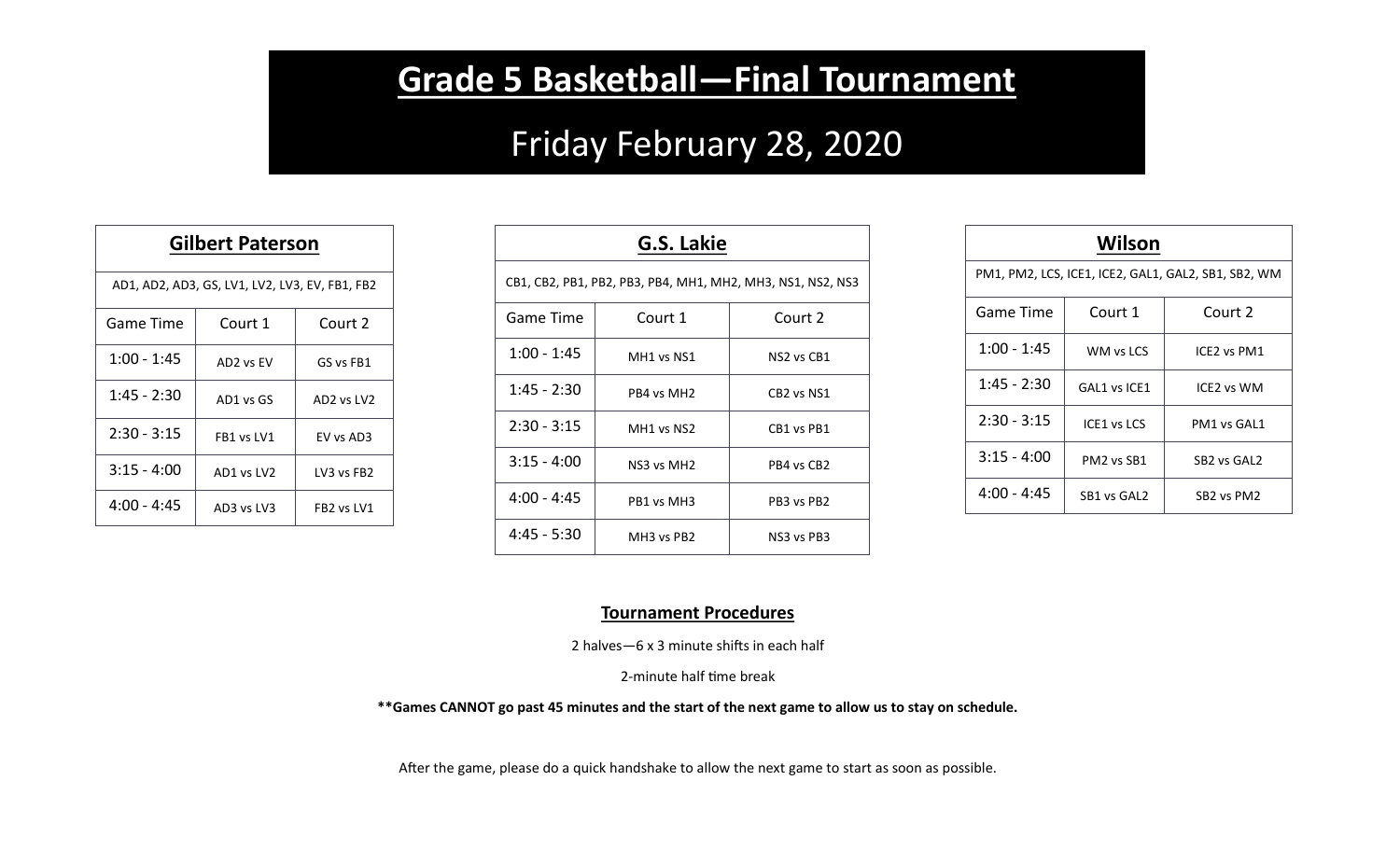## **Grade 5 Basketball—Final Tournament**

## Friday February 28, 2020

| <b>Gilbert Paterson</b>                        |            |                                    |  |  |
|------------------------------------------------|------------|------------------------------------|--|--|
| AD1, AD2, AD3, GS, LV1, LV2, LV3, EV, FB1, FB2 |            |                                    |  |  |
| Game Time                                      | Court 1    | Court 2                            |  |  |
| 1:00 - 1:45                                    | AD2 vs EV  | GS vs FB1                          |  |  |
| 1:45 - 2:30                                    | AD1 vs GS  | AD2 vs LV2                         |  |  |
| $2:30 - 3:15$                                  | FB1 ys IV1 | FV vs AD3                          |  |  |
| $3:15 - 4:00$                                  | AD1 vs LV2 | LV3 vs FB2                         |  |  |
| $4:00 - 4:45$                                  | AD3 vs LV3 | FB <sub>2</sub> vs LV <sub>1</sub> |  |  |

| G.S. Lakie                                                 |                                    |                                    |  |  |
|------------------------------------------------------------|------------------------------------|------------------------------------|--|--|
| CB1, CB2, PB1, PB2, PB3, PB4, MH1, MH2, MH3, NS1, NS2, NS3 |                                    |                                    |  |  |
| Game Time                                                  | Court 1                            | Court 2                            |  |  |
| $1:00 - 1:45$                                              | MH1 vs NS1                         | NS <sub>2</sub> vs CB <sub>1</sub> |  |  |
| $1:45 - 2:30$                                              | PB4 vs MH <sub>2</sub>             | CB2 vs NS1                         |  |  |
| $2:30 - 3:15$                                              | MH <sub>1</sub> vs N <sub>S2</sub> | CB1 vs PB1                         |  |  |
| $3:15 - 4:00$                                              | NS3 vs MH <sub>2</sub>             | PB4 vs CB2                         |  |  |
| $4:00 - 4:45$                                              | PB1 vs MH3                         | PB3 vs PB2                         |  |  |
| $4:45 - 5:30$                                              | MH <sub>3</sub> vs PB <sub>2</sub> | NS3 vs PB3                         |  |  |

| Wilson                                              |                                    |                                     |  |  |
|-----------------------------------------------------|------------------------------------|-------------------------------------|--|--|
| PM1, PM2, LCS, ICE1, ICE2, GAL1, GAL2, SB1, SB2, WM |                                    |                                     |  |  |
| Game Time                                           | Court 1                            | Court 2                             |  |  |
| $1:00 - 1:45$                                       | WM vs LCS                          | ICE2 vs PM1                         |  |  |
| $1:45 - 2:30$                                       | GAL1 vs ICE1                       | ICF <sub>2</sub> vs WM              |  |  |
| $2:30 - 3:15$                                       | ICE1 vs LCS                        | PM1 vs GAL1                         |  |  |
| $3:15 - 4:00$                                       | PM <sub>2</sub> vs SB <sub>1</sub> | SB <sub>2</sub> vs GAL <sub>2</sub> |  |  |
| $4:00 - 4:45$                                       | SB1 vs GAL2                        | SB <sub>2</sub> vs PM <sub>2</sub>  |  |  |

## **Tournament Procedures**

2 halves—6 x 3 minute shifts in each half

2-minute half time break

**\*\*Games CANNOT go past 45 minutes and the start of the next game to allow us to stay on schedule.**

After the game, please do a quick handshake to allow the next game to start as soon as possible.